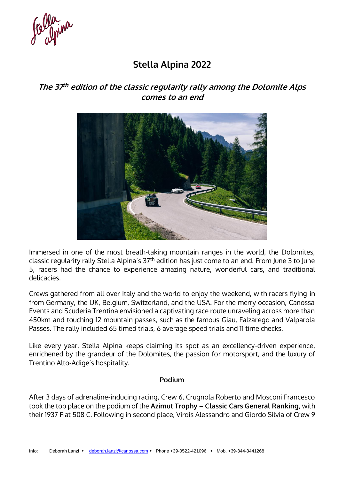e Olaina

# **Stella Alpina 2022**

## **The 37 th edition of the classic regularity rally among the Dolomite Alps comes to an end**



Immersed in one of the most breath-taking mountain ranges in the world, the Dolomites, classic regularity rally Stella Alpina's 37th edition has just come to an end. From June 3 to June 5, racers had the chance to experience amazing nature, wonderful cars, and traditional delicacies.

Crews gathered from all over Italy and the world to enjoy the weekend, with racers flying in from Germany, the UK, Belgium, Switzerland, and the USA. For the merry occasion, Canossa Events and Scuderia Trentina envisioned a captivating race route unraveling across more than 450km and touching 12 mountain passes, such as the famous Giau, Falzarego and Valparola Passes. The rally included 65 timed trials, 6 average speed trials and 11 time checks.

Like every year, Stella Alpina keeps claiming its spot as an excellency-driven experience, enrichened by the grandeur of the Dolomites, the passion for motorsport, and the luxury of Trentino Alto-Adige's hospitality.

#### **Podium**

After 3 days of adrenaline-inducing racing, Crew 6, Crugnola Roberto and Mosconi Francesco took the top place on the podium of the **Azimut Trophy – Classic Cars General Ranking**, with their 1937 Fiat 508 C. Following in second place, Virdis Alessandro and Giordo Silvia of Crew 9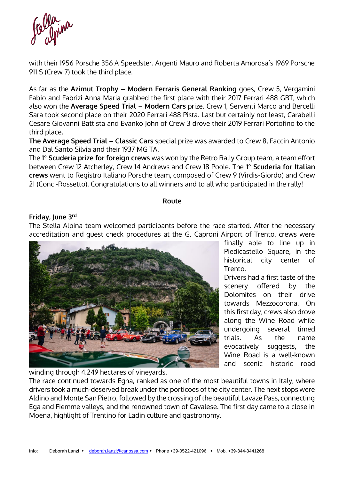

with their 1956 Porsche 356 A Speedster. Argenti Mauro and Roberta Amorosa's 1969 Porsche 911 S (Crew 7) took the third place.

As far as the **Azimut Trophy – Modern Ferraris General Ranking** goes, Crew 5, Vergamini Fabio and Fabrizi Anna Maria grabbed the first place with their 2017 Ferrari 488 GBT, which also won the **Average Speed Trial – Modern Cars** prize. Crew 1, Serventi Marco and Bercelli Sara took second place on their 2020 Ferrari 488 Pista. Last but certainly not least, Carabelli Cesare Giovanni Battista and Evanko John of Crew 3 drove their 2019 Ferrari Portofino to the third place.

**The Average Speed Trial – Classic Cars** special prize was awarded to Crew 8, Faccin Antonio and Dal Santo Silvia and their 1937 MG TA.

The **1° Scuderia prize for foreign crews** was won by the Retro Rally Group team, a team effort between Crew 12 Atcherley, Crew 14 Andrews and Crew 18 Poole. The **1° Scuderia for Italian crews** went to Registro Italiano Porsche team, composed of Crew 9 (Virdis-Giordo) and Crew 21 (Conci-Rossetto). Congratulations to all winners and to all who participated in the rally!

#### **Route**

#### **Friday, June 3rd**

The Stella Alpina team welcomed participants before the race started. After the necessary accreditation and guest check procedures at the G. Caproni Airport of Trento, crews were



finally able to line up in Piedicastello Square, in the historical city center of Trento.

Drivers had a first taste of the scenery offered by the Dolomites on their drive towards Mezzocorona. On this first day, crews also drove along the Wine Road while undergoing several timed trials. As the name evocatively suggests, the Wine Road is a well-known and scenic historic road

winding through 4.249 hectares of vineyards.

The race continued towards Egna, ranked as one of the most beautiful towns in Italy, where drivers took a much-deserved break under the porticoes of the city center. The next stops were Aldino and Monte San Pietro, followed by the crossing of the beautiful Lavazè Pass, connecting Ega and Fiemme valleys, and the renowned town of Cavalese. The first day came to a close in Moena, highlight of Trentino for Ladin culture and gastronomy.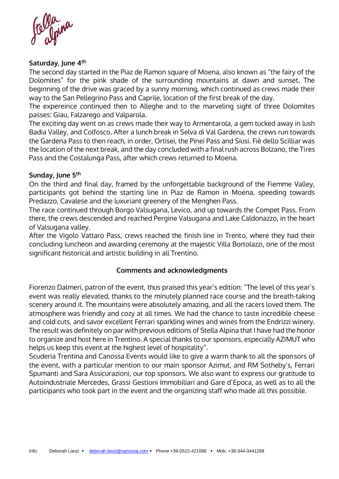folla<br>Clonina

#### **Saturday, June 4th**

The second day started in the Piaz de Ramon square of Moena, also known as "the fairy of the Dolomites" for the pink shade of the surrounding mountains at dawn and sunset. The beginning of the drive was graced by a sunny morning, which continued as crews made their way to the San Pellegrino Pass and Caprile, location of the first break of the day.

The expereince continued then to Alleghe and to the marveling sight of three Dolomites passes: Giau, Falzarego and Valparola.

The exciting day went on as crews made their way to Armentarola, a gem tucked away in lush Badia Valley, and Colfosco. After a lunch break in Selva di Val Gardena, the crews run towards the Gardena Pass to then reach, in order, Ortisei, the Pinei Pass and Siusi. Fiè dello Scilliar was the location of the next break, and the day concluded with a final rush across Bolzano, the Tires Pass and the Costalunga Pass, after which crews returned to Moena.

#### **Sunday, June 5th**

On the third and final day, framed by the unforgettable background of the Fiemme Valley, participants got behind the starting line in Piaz de Ramon in Moena, speeding towards Predazzo, Cavalese and the luxuriant greenery of the Menghen Pass.

The race continued through Borgo Valsugana, Levico, and up towards the Compet Pass. From there, the crews descended and reached Pergine Valsugana and Lake Caldonazzo, in the heart of Valsugana valley.

After the Vigolo Vattaro Pass, crews reached the finish line in Trento, where they had their concluding luncheon and awarding ceremony at the majestic Villa Bortolazzi, one of the most significant historical and artistic building in all Trentino.

#### **Comments and acknowledgments**

Fiorenzo Dalmeri, patron of the event, thus praised this year's edition: "The level of this year's event was really elevated, thanks to the minutely planned race course and the breath-taking scenery around it. The mountains were absolutely amazing, and all the racers loved them. The atmosphere was friendly and cozy at all times. We had the chance to taste incredible cheese and cold cuts, and savor excellent Ferrari sparkling wines and wines from the Endrizzi winery. The result was definitely on par with previous editions of Stella Alpina that I have had the honor to organize and host here in Trentino. A special thanks to our sponsors, especially AZIMUT who helps us keep this event at the highest level of hospitality".

Scuderia Trentina and Canossa Events would like to give a warm thank to all the sponsors of the event, with a particular mention to our main sponsor Azimut, and RM Sotheby's, Ferrari Spumanti and Sara Assicurazioni, our top sponsors. We also want to express our gratitude to Autoindustriale Mercedes, Grassi Gestioni Immobiliari and Gare d'Epoca, as well as to all the participants who took part in the event and the organizing staff who made all this possible.